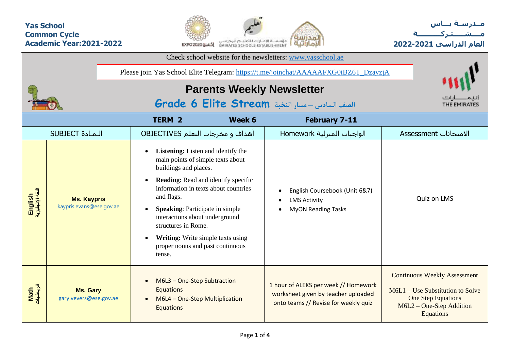## **Yas School Common Cycle Academic Year:2021-2022**





|                             |                                                | Check school website for the newsletters: www.yasschool.ae                                                                                                                                                                                                                                                  |                                                                                    |                                                                                                                     |                                                                                                                                                   |  |  |  |  |  |  |  |  |  |
|-----------------------------|------------------------------------------------|-------------------------------------------------------------------------------------------------------------------------------------------------------------------------------------------------------------------------------------------------------------------------------------------------------------|------------------------------------------------------------------------------------|---------------------------------------------------------------------------------------------------------------------|---------------------------------------------------------------------------------------------------------------------------------------------------|--|--|--|--|--|--|--|--|--|
|                             |                                                | Please join Yas School Elite Telegram: https://t.me/joinchat/AAAAAFXG0iBZ6T_DzayzjA                                                                                                                                                                                                                         |                                                                                    |                                                                                                                     |                                                                                                                                                   |  |  |  |  |  |  |  |  |  |
|                             |                                                | <b>Parents Weekly Newsletter</b>                                                                                                                                                                                                                                                                            |                                                                                    |                                                                                                                     |                                                                                                                                                   |  |  |  |  |  |  |  |  |  |
|                             |                                                | الصف السادس - مسار النخبة Grade 6 Elite Stream                                                                                                                                                                                                                                                              |                                                                                    |                                                                                                                     |                                                                                                                                                   |  |  |  |  |  |  |  |  |  |
|                             |                                                | <b>TERM 2</b>                                                                                                                                                                                                                                                                                               | Week 6                                                                             | <b>February 7-11</b>                                                                                                |                                                                                                                                                   |  |  |  |  |  |  |  |  |  |
|                             | <b>SUBJECT</b> الـمـادة                        | أهداف و مخرجات التعلم OBJECTIVES                                                                                                                                                                                                                                                                            |                                                                                    | الواجبات المنزلية Homework                                                                                          | الامتحانات Assessment                                                                                                                             |  |  |  |  |  |  |  |  |  |
| English<br>اللغة الإنجليزية | <b>Ms. Kaypris</b><br>kaypris.evans@ese.gov.ae | <b>Listening:</b> Listen and identify the<br>main points of simple texts about<br>buildings and places.<br>and flags.<br><b>Speaking:</b> Participate in simple<br>interactions about underground<br>structures in Rome.<br>Writing: Write simple texts using<br>proper nouns and past continuous<br>tense. | <b>Reading:</b> Read and identify specific<br>information in texts about countries | English Coursebook (Unit 6&7)<br><b>LMS Activity</b><br>$\bullet$<br><b>MyON Reading Tasks</b><br>$\bullet$         | Quiz on LMS                                                                                                                                       |  |  |  |  |  |  |  |  |  |
| Math<br>الرياضيات           | <b>Ms. Gary</b><br>gary.vevers@ese.gov.ae      | M6L3 - One-Step Subtraction<br>Equations<br>M6L4 - One-Step Multiplication<br><b>Equations</b>                                                                                                                                                                                                              |                                                                                    | 1 hour of ALEKS per week // Homework<br>worksheet given by teacher uploaded<br>onto teams // Revise for weekly quiz | <b>Continuous Weekly Assessment</b><br>$M6L1 - Use Substitution to Solve$<br>One Step Equations<br>$M6L2$ – One-Step Addition<br><b>Equations</b> |  |  |  |  |  |  |  |  |  |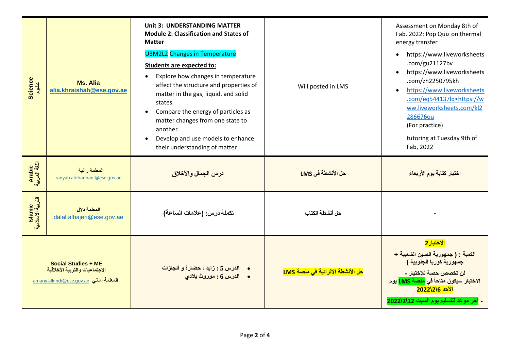| Science                      | Ms. Alia<br>alia.khraishah@ese.gov.ae                                                    | <b>Unit 3: UNDERSTANDING MATTER</b><br><b>Module 2: Classification and States of</b><br><b>Matter</b><br><b>U3M2L2</b> Changes in Temperature<br><b>Students are expected to:</b><br>Explore how changes in temperature<br>affect the structure and properties of<br>matter in the gas, liquid, and solid<br>states.<br>Compare the energy of particles as<br>matter changes from one state to<br>another.<br>Develop and use models to enhance<br>their understanding of matter | Will posted in LMS               | Assessment on Monday 8th of<br>Fab. 2022: Pop Quiz on thermal<br>energy transfer<br>https://www.liveworksheets<br>.com/gu21127bv<br>https://www.liveworksheets<br>$\bullet$<br>.com/zh2250795kh<br>https://www.liveworksheets<br>$\bullet$<br>.com/eq544137lq•https://w<br>ww.liveworksheets.com/kl2<br>286676ou<br>(For practice)<br>tutoring at Tuesday 9th of<br>Fab, 2022 |  |  |  |  |  |
|------------------------------|------------------------------------------------------------------------------------------|----------------------------------------------------------------------------------------------------------------------------------------------------------------------------------------------------------------------------------------------------------------------------------------------------------------------------------------------------------------------------------------------------------------------------------------------------------------------------------|----------------------------------|-------------------------------------------------------------------------------------------------------------------------------------------------------------------------------------------------------------------------------------------------------------------------------------------------------------------------------------------------------------------------------|--|--|--|--|--|
| Arabic<br>اللغة العربية      | المعلمة رانبة<br>ranyah.aldhanhani@ese.gov.ae                                            | درس الجمال و الأخلاق                                                                                                                                                                                                                                                                                                                                                                                                                                                             | حل الأنشطة في LMS                | اختبار كتابة يوم الأربعاء                                                                                                                                                                                                                                                                                                                                                     |  |  |  |  |  |
| lslamic<br>التربية الإسلامية | المعلمة دلال<br>dalal.alhajeri@ese.gov.ae                                                | تكملة درس: (علامات الساعة)                                                                                                                                                                                                                                                                                                                                                                                                                                                       | حل أنشطة الكتاب                  |                                                                                                                                                                                                                                                                                                                                                                               |  |  |  |  |  |
|                              | <b>Social Studies + ME</b><br>الاجتماعيات والتربية الأخلاقية<br>amany.alkindi@ese.gov.ae | <mark>• الدرس 5 : زايد ، حضارة و أنجازات</mark><br>• الدرس 6 : موروث بلادي                                                                                                                                                                                                                                                                                                                                                                                                       | حل الأنشطة الاثرائية في منصة LMS | <mark>الاختبار 2</mark><br>الكمية : ( جمهورية الصين الشعبية +<br>جمهورية كوريا الجنوبية )<br>لن تخصص حصة للإختبار -<br>الاختبار سيكون متاحاً في <mark>منصة LMS</mark> يوم<br>الأحد 2022\2\6<br>- آخر موعد للتسليم يوم السبت 2022\2022                                                                                                                                         |  |  |  |  |  |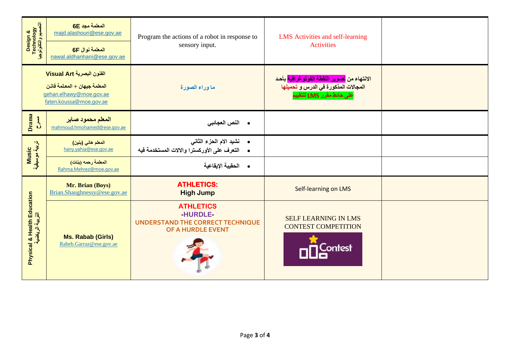| Design &<br>Technology<br>انتصبیح وانتکٹوٹوجیا  | المعلمة مجد 6E<br>majd.alashouri@ese.gov.ae<br>المعلمة نوال 6F<br>nawal.aldhanhani@ese.gov.ae                   | Program the actions of a robot in response to<br>sensory input.                                   | LMS Activities and self-learning<br><b>Activities</b>                                                                         |  |
|-------------------------------------------------|-----------------------------------------------------------------------------------------------------------------|---------------------------------------------------------------------------------------------------|-------------------------------------------------------------------------------------------------------------------------------|--|
|                                                 | الفنون البصرية Visual Art<br>المعلمة جيهان + المعلمة فاتن<br>gehan.elhawy@moe.gov.ae<br>faten.koussa@moe.gov.ae | ما وراء الصورة                                                                                    | الانتهاع من <mark>تصوير اللقطة الفوتو غرافية</mark> بأحد<br>المجالات المذكورة في الدرس و تحميلها<br>على حائط مقرر LMS للتقييم |  |
| Drama<br><b>AH</b>                              | المعلم محمود صابر<br>mahmoud.hmohamed@ese.gov.ae                                                                | • النص العجائب <i>ي</i>                                                                           |                                                                                                                               |  |
| Music<br>تربية موسيقية                          | المعلم هاني (بنين)<br>hany.yahia@ese.gov.ae                                                                     | • نشيد الام الحزء الثاني<br>• التعرف على الأوركسترا والالات المستخدمة فيه                         |                                                                                                                               |  |
|                                                 | المعلمة رحمه (بنات)<br>Rahma.Mehrez@moe.gov.ae                                                                  | • الحقيبة الإيقاعية                                                                               |                                                                                                                               |  |
|                                                 | Mr. Brian (Boys)<br>Brian.Shaughnessy@ese.gov.ae                                                                | <b>ATHLETICS:</b><br><b>High Jump</b>                                                             | Self-learning on LMS                                                                                                          |  |
| Physical & Health Education<br>التربية الرياضية | Ms. Rabab (Girls)<br>Rabeb.Garraz@ese.gov.ae                                                                    | <b>ATHLETICS</b><br><b>HURDLE</b><br><b>UNDERSTAND THE CORRECT TECHNIQUE</b><br>OF A HURDLE EVENT | <b>SELF LEARNING IN LMS</b><br><b>CONTEST COMPETITION</b><br>Contest                                                          |  |